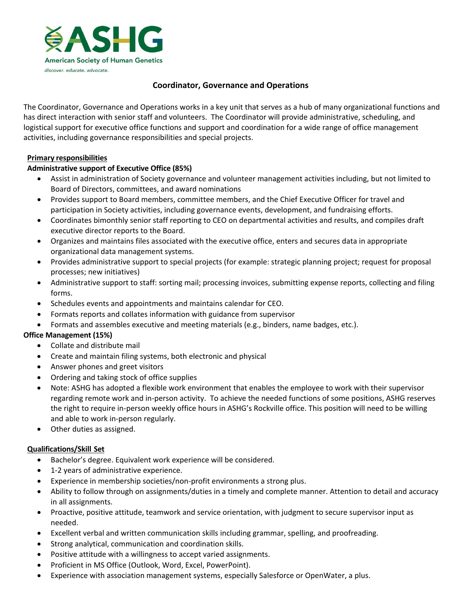

# **Coordinator, Governance and Operations**

The Coordinator, Governance and Operations works in a key unit that serves as a hub of many organizational functions and has direct interaction with senior staff and volunteers. The Coordinator will provide administrative, scheduling, and logistical support for executive office functions and support and coordination for a wide range of office management activities, including governance responsibilities and special projects.

### **Primary responsibilities**

## **Administrative support of Executive Office (85%)**

- Assist in administration of Society governance and volunteer management activities including, but not limited to Board of Directors, committees, and award nominations
- Provides support to Board members, committee members, and the Chief Executive Officer for travel and participation in Society activities, including governance events, development, and fundraising efforts.
- Coordinates bimonthly senior staff reporting to CEO on departmental activities and results, and compiles draft executive director reports to the Board.
- Organizes and maintains files associated with the executive office, enters and secures data in appropriate organizational data management systems.
- Provides administrative support to special projects (for example: strategic planning project; request for proposal processes; new initiatives)
- Administrative support to staff: sorting mail; processing invoices, submitting expense reports, collecting and filing forms.
- Schedules events and appointments and maintains calendar for CEO.
- Formats reports and collates information with guidance from supervisor
- Formats and assembles executive and meeting materials (e.g., binders, name badges, etc.).

### **Office Management (15%)**

- Collate and distribute mail
- Create and maintain filing systems, both electronic and physical
- Answer phones and greet visitors
- Ordering and taking stock of office supplies
- Note: ASHG has adopted a flexible work environment that enables the employee to work with their supervisor regarding remote work and in-person activity. To achieve the needed functions of some positions, ASHG reserves the right to require in-person weekly office hours in ASHG's Rockville office. This position will need to be willing and able to work in-person regularly.
- Other duties as assigned.

### **Qualifications/Skill Set**

- Bachelor's degree. Equivalent work experience will be considered.
- 1-2 years of administrative experience.
- Experience in membership societies/non-profit environments a strong plus.
- Ability to follow through on assignments/duties in a timely and complete manner. Attention to detail and accuracy in all assignments.
- Proactive, positive attitude, teamwork and service orientation, with judgment to secure supervisor input as needed.
- Excellent verbal and written communication skills including grammar, spelling, and proofreading.
- Strong analytical, communication and coordination skills.
- Positive attitude with a willingness to accept varied assignments.
- Proficient in MS Office (Outlook, Word, Excel, PowerPoint).
- Experience with association management systems, especially Salesforce or OpenWater, a plus.